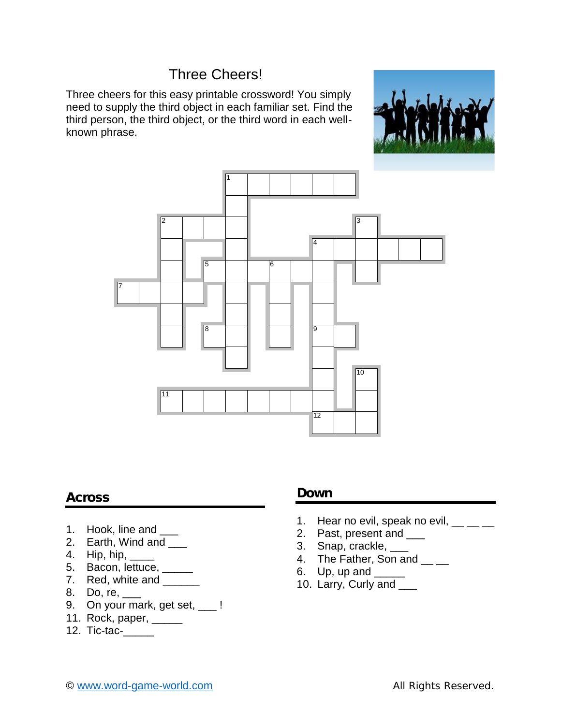## Three Cheers!

Three cheers for this easy printable crossword! You simply need to supply the third object in each familiar set. Find the third person, the third object, or the third word in each well known phrase.





## **Across**

- 1. Hook, line and \_\_\_
- 2. Earth, Wind and \_\_\_
- 4. Hip, hip,
- 5. Bacon, lettuce, \_\_\_\_\_
- 7. Red, white and
- 8. Do, re, \_\_\_
- 9. On your mark, get set, \_\_\_!
- 11. Rock, paper, \_\_\_\_\_
- 12. Tic-tac-\_\_\_\_\_

## **Down**

- 1. Hear no evil, speak no evil,  $\frac{1}{2}$   $\frac{1}{2}$
- 2. Past, present and \_\_\_\_
- 3. Snap, crackle, \_\_\_\_
- 4. The Father, Son and \_\_\_
- 6. Up, up and \_\_\_\_\_
- 10. Larry, Curly and \_\_\_